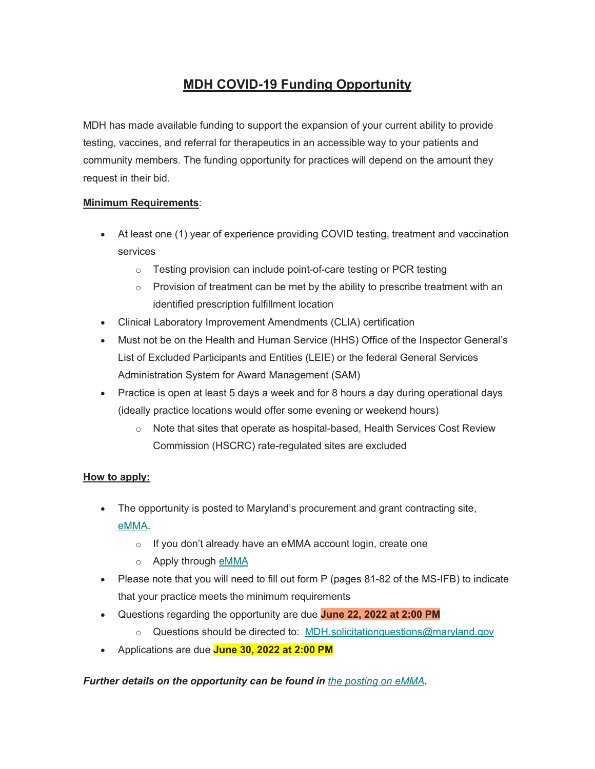# **MDH COVID-19 Funding Opportunity**

MDH has made available funding to support the expansion of your current ability to provide testing, vaccines, and referral for therapeutics in an accessible way to your patients and community members. The funding opportunity for practices will depend on the amount they request in their bid.

### **Minimum Requirements**:

- At least one (1) year of experience providing COVID testing, treatment and vaccination services
	- o Testing provision can include point-of-care testing or PCR testing
	- $\circ$  Provision of treatment can be met by the ability to prescribe treatment with an identified prescription fulfillment location
- Clinical Laboratory Improvement Amendments (CLIA) certification
- Must not be on the Health and Human Service (HHS) Office of the Inspector General's List of Excluded Participants and Entities (LEIE) or the federal General Services Administration System for Award Management (SAM)
- Practice is open at least 5 days a week and for 8 hours a day during operational days (ideally practice locations would offer some evening or weekend hours)
	- $\circ$  Note that sites that operate as hospital-based, Health Services Cost Review Commission (HSCRC) rate-regulated sites are excluded

#### **How to apply:**

- The opportunity is posted to Maryland's procurement and grant contracting site, [eMMA.](https://urldefense.com/v3/__https:/maryland.us1.list-manage.com/track/click?u=1bbefc55ea99dac6014b88ad6&id=f28a3ed7af&e=bc8f7ffb72__;!!I2-OFBIJoQBJqqeup9g!AD2ZZfQHlmgOfXaGY0S0WcnYYpox5BNfZNmuHygyc7opiFkGZE7la2L65bp3PqM7cIo7PAcT5Z939bp-0mC4_Nk_4VlauXXe2qNa7RuW$)
	- o If you don't already have an eMMA account login, create one
	- o Apply through [eMMA](https://urldefense.com/v3/__https:/maryland.us1.list-manage.com/track/click?u=1bbefc55ea99dac6014b88ad6&id=ee26506338&e=bc8f7ffb72__;!!I2-OFBIJoQBJqqeup9g!AD2ZZfQHlmgOfXaGY0S0WcnYYpox5BNfZNmuHygyc7opiFkGZE7la2L65bp3PqM7cIo7PAcT5Z939bp-0mC4_Nk_4VlauXXe2m4uxUPF$)
- Please note that you will need to fill out form P (pages 81-82 of the MS-IFB) to indicate that your practice meets the minimum requirements
- Questions regarding the opportunity are due **June 22, 2022 at 2:00 PM**
	- o Questions should be directed to: [MDH.solicitationquestions@maryland.gov](mailto:MDH.solicitationquestions@maryland.gov)
- Applications are due **June 30, 2022 at 2:00 PM**

#### *Further details on the opportunity can be found in [the posting on eMMA](https://urldefense.com/v3/__https:/maryland.us1.list-manage.com/track/click?u=1bbefc55ea99dac6014b88ad6&id=f321acaf0f&e=bc8f7ffb72__;!!I2-OFBIJoQBJqqeup9g!AD2ZZfQHlmgOfXaGY0S0WcnYYpox5BNfZNmuHygyc7opiFkGZE7la2L65bp3PqM7cIo7PAcT5Z939bp-0mC4_Nk_4VlauXXe2tEd_hjZ$).*